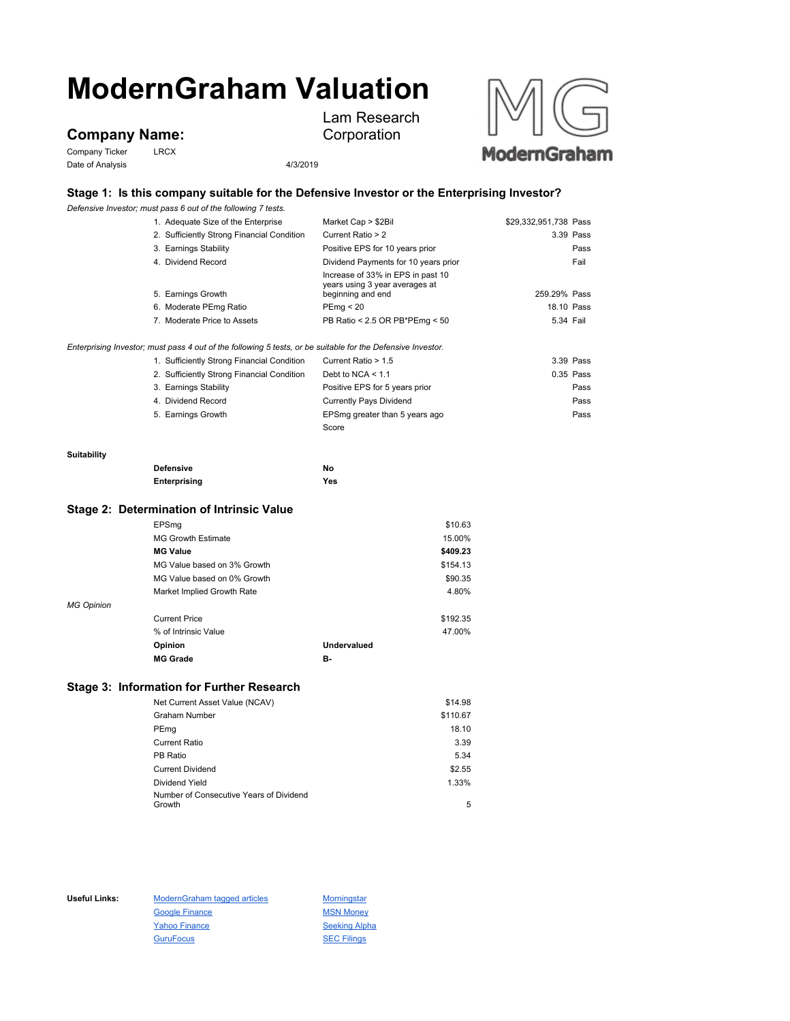# **ModernGraham Valuation**

## **Company Name:**

Company Ticker LRCX Date of Analysis 4/3/2019



## **Stage 1: Is this company suitable for the Defensive Investor or the Enterprising Investor?**

Lam Research Corporation

*Defensive Investor; must pass 6 out of the following 7 tests.*

|             | 1. Adequate Size of the Enterprise                                                                          | Market Cap > \$2Bil                                                                      | \$29,332,951,738 Pass |
|-------------|-------------------------------------------------------------------------------------------------------------|------------------------------------------------------------------------------------------|-----------------------|
|             | 2. Sufficiently Strong Financial Condition                                                                  | Current Ratio > 2                                                                        | 3.39 Pass             |
|             | 3. Earnings Stability                                                                                       | Positive EPS for 10 years prior                                                          | Pass                  |
|             | 4. Dividend Record                                                                                          | Dividend Payments for 10 years prior                                                     | Fail                  |
|             | 5. Earnings Growth                                                                                          | Increase of 33% in EPS in past 10<br>years using 3 year averages at<br>beginning and end | 259.29% Pass          |
|             | 6. Moderate PEmg Ratio                                                                                      | PEmg < 20                                                                                | 18.10 Pass            |
|             | 7. Moderate Price to Assets                                                                                 | PB Ratio < 2.5 OR PB*PEmg < 50                                                           | 5.34 Fail             |
|             | Enterprising Investor; must pass 4 out of the following 5 tests, or be suitable for the Defensive Investor. |                                                                                          |                       |
|             | 1. Sufficiently Strong Financial Condition                                                                  | Current Ratio > 1.5                                                                      | 3.39 Pass             |
|             | 2. Sufficiently Strong Financial Condition                                                                  | Debt to $NCA < 1.1$                                                                      | $0.35$ Pass           |
|             | 3. Earnings Stability                                                                                       | Positive EPS for 5 years prior                                                           | Pass                  |
|             | 4. Dividend Record                                                                                          | <b>Currently Pays Dividend</b>                                                           | Pass                  |
|             | 5. Earnings Growth                                                                                          | EPSmg greater than 5 years ago                                                           | Pass                  |
|             |                                                                                                             | Score                                                                                    |                       |
| Suitability |                                                                                                             |                                                                                          |                       |
|             | <b>Defensive</b>                                                                                            | No                                                                                       |                       |
|             | Enterprising                                                                                                | Yes                                                                                      |                       |
|             | .                                                                                                           |                                                                                          |                       |

#### **Stage 2: Determination of Intrinsic Value**

|                             |                    | \$10.63  |
|-----------------------------|--------------------|----------|
| <b>MG Growth Estimate</b>   |                    | 15.00%   |
| <b>MG Value</b>             |                    | \$409.23 |
| MG Value based on 3% Growth |                    | \$154.13 |
| MG Value based on 0% Growth |                    | \$90.35  |
| Market Implied Growth Rate  |                    | 4.80%    |
|                             |                    |          |
| <b>Current Price</b>        |                    | \$192.35 |
| % of Intrinsic Value        |                    | 47.00%   |
| Opinion                     | <b>Undervalued</b> |          |
| <b>MG Grade</b>             | в-                 |          |
|                             | EPSmg              |          |

### **Stage 3: Information for Further Research**

| Net Current Asset Value (NCAV)          | \$14.98  |
|-----------------------------------------|----------|
| <b>Graham Number</b>                    | \$110.67 |
| PEmg                                    | 18.10    |
| <b>Current Ratio</b>                    | 3.39     |
| PB Ratio                                | 5.34     |
| <b>Current Dividend</b>                 | \$2.55   |
| Dividend Yield                          | 1.33%    |
| Number of Consecutive Years of Dividend |          |
| Growth                                  | 5        |

Useful Links: ModernGraham tagged articles Morningstar Google Finance MSN Money Yahoo Finance Seeking Alpha GuruFocus 30 SEC Filings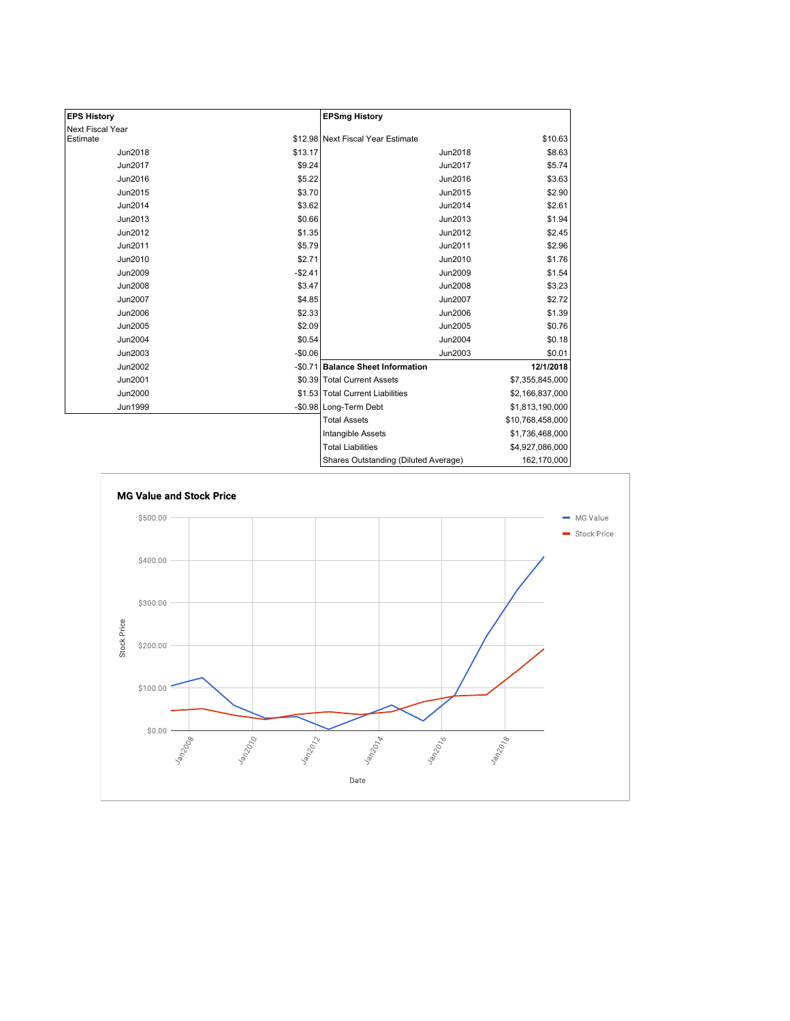| <b>EPS History</b>      |          | <b>EPSmg History</b>                 |                  |
|-------------------------|----------|--------------------------------------|------------------|
| <b>Next Fiscal Year</b> |          |                                      |                  |
| Estimate                |          | \$12.98 Next Fiscal Year Estimate    | \$10.63          |
| <b>Jun2018</b>          | \$13.17  | <b>Jun2018</b>                       | \$8.63           |
| Jun2017                 | \$9.24   | Jun2017                              | \$5.74           |
| Jun2016                 | \$5.22   | Jun2016                              | \$3.63           |
| Jun2015                 | \$3.70   | Jun2015                              | \$2.90           |
| Jun2014                 | \$3.62   | Jun2014                              | \$2.61           |
| Jun2013                 | \$0.66   | Jun2013                              | \$1.94           |
| Jun2012                 | \$1.35   | Jun2012                              | \$2.45           |
| Jun2011                 | \$5.79   | Jun2011                              | \$2.96           |
| Jun2010                 | \$2.71   | Jun2010                              | \$1.76           |
| Jun2009                 | $-$2.41$ | <b>Jun2009</b>                       | \$1.54           |
| <b>Jun2008</b>          | \$3.47   | <b>Jun2008</b>                       | \$3.23           |
| <b>Jun2007</b>          | \$4.85   | <b>Jun2007</b>                       | \$2.72           |
| <b>Jun2006</b>          | \$2.33   | Jun2006                              | \$1.39           |
| Jun2005                 | \$2.09   | Jun2005                              | \$0.76           |
| Jun2004                 | \$0.54   | Jun2004                              | \$0.18           |
| Jun2003                 | $-$0.06$ | Jun2003                              | \$0.01           |
| Jun2002                 |          | -\$0.71 Balance Sheet Information    | 12/1/2018        |
| Jun2001                 |          | \$0.39 Total Current Assets          | \$7,355,845,000  |
| Jun2000                 |          | \$1.53 Total Current Liabilities     | \$2,166,837,000  |
| <b>Jun1999</b>          |          | -\$0.98 Long-Term Debt               | \$1,813,190,000  |
|                         |          | <b>Total Assets</b>                  | \$10,768,458,000 |
|                         |          | <b>Intangible Assets</b>             | \$1,736,468,000  |
|                         |          | <b>Total Liabilities</b>             | \$4,927,086,000  |
|                         |          | Shares Outstanding (Diluted Average) | 162,170,000      |